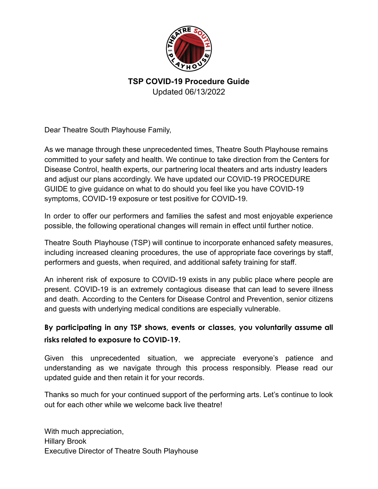

Dear Theatre South Playhouse Family,

As we manage through these unprecedented times, Theatre South Playhouse remains committed to your safety and health. We continue to take direction from the Centers for Disease Control, health experts, our partnering local theaters and arts industry leaders and adjust our plans accordingly. We have updated our COVID-19 PROCEDURE GUIDE to give guidance on what to do should you feel like you have COVID-19 symptoms, COVID-19 exposure or test positive for COVID-19.

In order to offer our performers and families the safest and most enjoyable experience possible, the following operational changes will remain in effect until further notice.

Theatre South Playhouse (TSP) will continue to incorporate enhanced safety measures, including increased cleaning procedures, the use of appropriate face coverings by staff, performers and guests, when required, and additional safety training for staff.

An inherent risk of exposure to COVID-19 exists in any public place where people are present. COVID-19 is an extremely contagious disease that can lead to severe illness and death. According to the Centers for Disease Control and Prevention, senior citizens and guests with underlying medical conditions are especially vulnerable.

### **By participating in any TSP shows, events or classes, you voluntarily assume all risks related to exposure to COVID-19.**

Given this unprecedented situation, we appreciate everyone's patience and understanding as we navigate through this process responsibly. Please read our updated guide and then retain it for your records.

Thanks so much for your continued support of the performing arts. Let's continue to look out for each other while we welcome back live theatre!

With much appreciation, Hillary Brook Executive Director of Theatre South Playhouse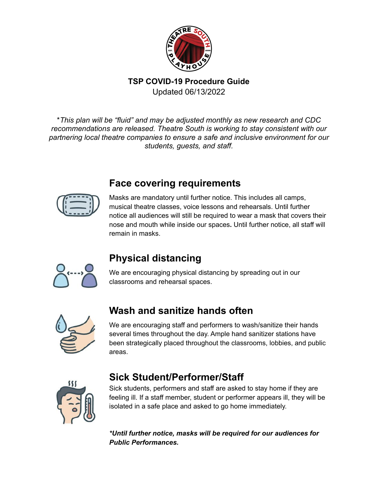

\**This plan will be "fluid" and may be adjusted monthly as new research and CDC recommendations are released. Theatre South is working to stay consistent with our partnering local theatre companies to ensure a safe and inclusive environment for our students, guests, and staff.*

## **Face covering requirements**



Masks are mandatory until further notice. This includes all camps, musical theatre classes, voice lessons and rehearsals. Until further notice all audiences will still be required to wear a mask that covers their nose and mouth while inside our spaces**.** Until further notice, all staff will remain in masks.



## **Physical distancing**

We are encouraging physical distancing by spreading out in our classrooms and rehearsal spaces.



## **Wash and sanitize hands often**

We are encouraging staff and performers to wash/sanitize their hands several times throughout the day. Ample hand sanitizer stations have been strategically placed throughout the classrooms, lobbies, and public areas.



## **Sick Student/Performer/Staff**

Sick students, performers and staff are asked to stay home if they are feeling ill. If a staff member, student or performer appears ill, they will be isolated in a safe place and asked to go home immediately.

*\*Until further notice, masks will be required for our audiences for Public Performances.*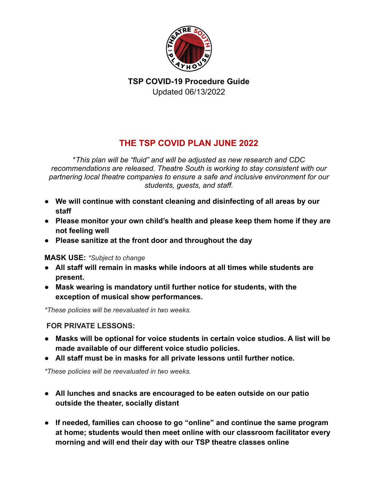

### **THE TSP COVID PLAN JUNE 2022**

\**This plan will be "fluid" and will be adjusted as new research and CDC recommendations are released. Theatre South is working to stay consistent with our partnering local theatre companies to ensure a safe and inclusive environment for our students, guests, and staff.*

- **● We will continue with constant cleaning and disinfecting of all areas by our staff**
- **Please monitor your own child's health and please keep them home if they are not feeling well**
- **Please sanitize at the front door and throughout the day**

#### **MASK USE:** *\*Subject to change*

- **● All staff will remain in masks while indoors at all times while students are present.**
- **● Mask wearing is mandatory until further notice for students, with the exception of musical show performances.**

*\*These policies will be reevaluated in two weeks.*

### **FOR PRIVATE LESSONS:**

- **● Masks will be optional for voice students in certain voice studios. A list will be made available of our different voice studio policies.**
- **● All staff must be in masks for all private lessons until further notice.**

*\*These policies will be reevaluated in two weeks.*

- **● All lunches and snacks are encouraged to be eaten outside on our patio outside the theater, socially distant**
- **● If needed, families can choose to go "online" and continue the same program at home; students would then meet online with our classroom facilitator every morning and will end their day with our TSP theatre classes online**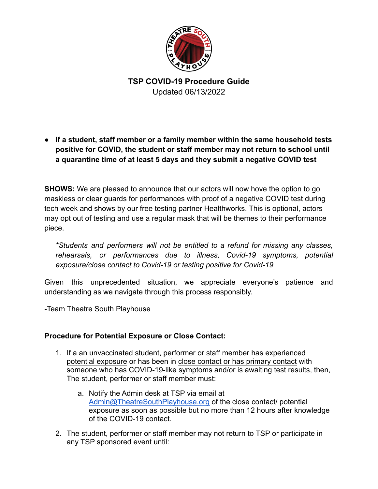

**● If a student, staff member or a family member within the same household tests positive for COVID, the student or staff member may not return to school until a quarantine time of at least 5 days and they submit a negative COVID test**

**SHOWS:** We are pleased to announce that our actors will now hove the option to go maskless or clear guards for performances with proof of a negative COVID test during tech week and shows by our free testing partner Healthworks. This is optional, actors may opt out of testing and use a regular mask that will be themes to their performance piece.

*\*Students and performers will not be entitled to a refund for missing any classes, rehearsals, or performances due to illness, Covid-19 symptoms, potential exposure/close contact to Covid-19 or testing positive for Covid-19*

Given this unprecedented situation, we appreciate everyone's patience and understanding as we navigate through this process responsibly.

-Team Theatre South Playhouse

#### **Procedure for Potential Exposure or Close Contact:**

- 1. If a an unvaccinated student, performer or staff member has experienced potential exposure or has been in close contact or has primary contact with someone who has COVID-19-like symptoms and/or is awaiting test results, then, The student, performer or staff member must:
	- a. Notify the Admin desk at TSP via email at [Admin@TheatreSouthPlayhouse.org](mailto:Admin@TheatreSouthPlayhouse.org) of the close contact/ potential exposure as soon as possible but no more than 12 hours after knowledge of the COVID-19 contact.
- 2. The student, performer or staff member may not return to TSP or participate in any TSP sponsored event until: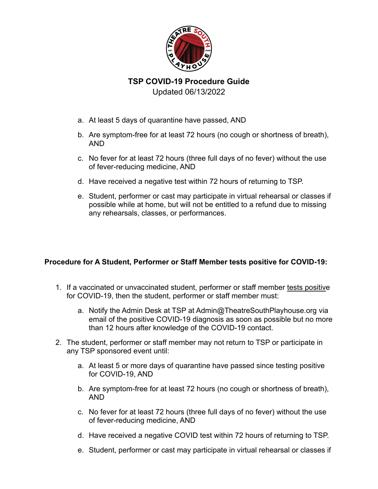

# **TSP COVID-19 Procedure Guide**

Updated 06/13/2022

- a. At least 5 days of quarantine have passed, AND
- b. Are symptom-free for at least 72 hours (no cough or shortness of breath), AND
- c. No fever for at least 72 hours (three full days of no fever) without the use of fever-reducing medicine, AND
- d. Have received a negative test within 72 hours of returning to TSP.
- e. Student, performer or cast may participate in virtual rehearsal or classes if possible while at home, but will not be entitled to a refund due to missing any rehearsals, classes, or performances.

### **Procedure for A Student, Performer or Staff Member tests positive for COVID-19:**

- 1. If a vaccinated or unvaccinated student, performer or staff member tests positive for COVID-19, then the student, performer or staff member must:
	- a. Notify the Admin Desk at TSP at Admin@TheatreSouthPlayhouse.org via email of the positive COVID-19 diagnosis as soon as possible but no more than 12 hours after knowledge of the COVID-19 contact.
- 2. The student, performer or staff member may not return to TSP or participate in any TSP sponsored event until:
	- a. At least 5 or more days of quarantine have passed since testing positive for COVID-19, AND
	- b. Are symptom-free for at least 72 hours (no cough or shortness of breath), AND
	- c. No fever for at least 72 hours (three full days of no fever) without the use of fever-reducing medicine, AND
	- d. Have received a negative COVID test within 72 hours of returning to TSP.
	- e. Student, performer or cast may participate in virtual rehearsal or classes if